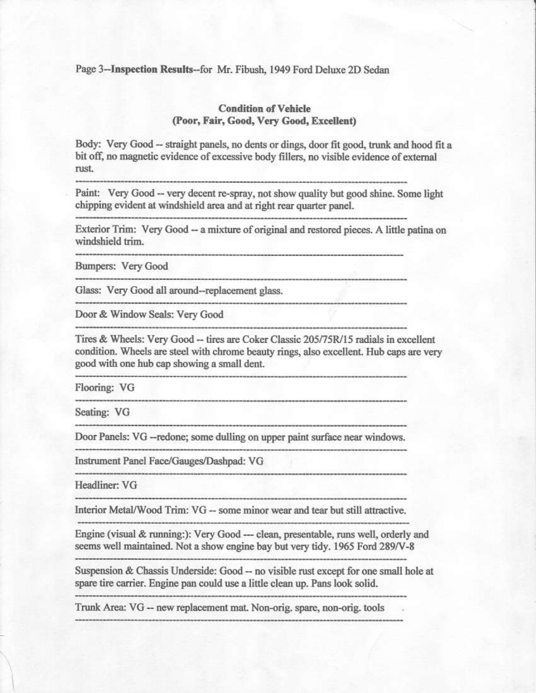Page 3--Inspection Results--for Mr. Fibush, 1949 Ford Deluxe 2D Sedan

## **Condition of Vehicle** (Poor, Fair, Good, Very Good, Excellent)

Body: Very Good -- straight panels, no dents or dings, door fit good, trunk and hood fit a bit off, no magnetic evidence of excessive body fillers, no visible evidence of external rust.

Paint: Very Good -- very decent re-spray, not show quality but good shine. Some light

chipping evident at windshield area and at right rear quarter panel.

Exterior Trim: Very Good -- a mixture of original and restored pieces. A little patina on windshield trim.

Bumpers: Very Good

Glass: Very Good all around--replacement glass.

Door & Window Seals: Very Good

Tires & Wheels: Very Good -- tires are Coker Classic 205/75R/15 radials in excellent condition. Wheels are steel with chrome beauty rings, also excellent. Hub caps are very good with one hub cap showing a small dent.

Flooring: VG

Seating: VG

Door Panels: VG --redone; some dulling on upper paint surface near windows.

Instrument Panel Face/Gauges/Dashpad: VG

Headliner: VG

Interior Metal/Wood Trim: VG -- some minor wear and tear but still attractive.

Engine (visual & running:): Very Good --- clean, presentable, runs well, orderly and seems well maintained. Not a show engine bay but very tidy. 1965 Ford 289/V-8

Suspension & Chassis Underside: Good -- no visible rust except for one small hole at spare tire carrier. Engine pan could use a little clean up. Pans look solid.

Trunk Area: VG -- new replacement mat. Non-orig. spare, non-orig. tools